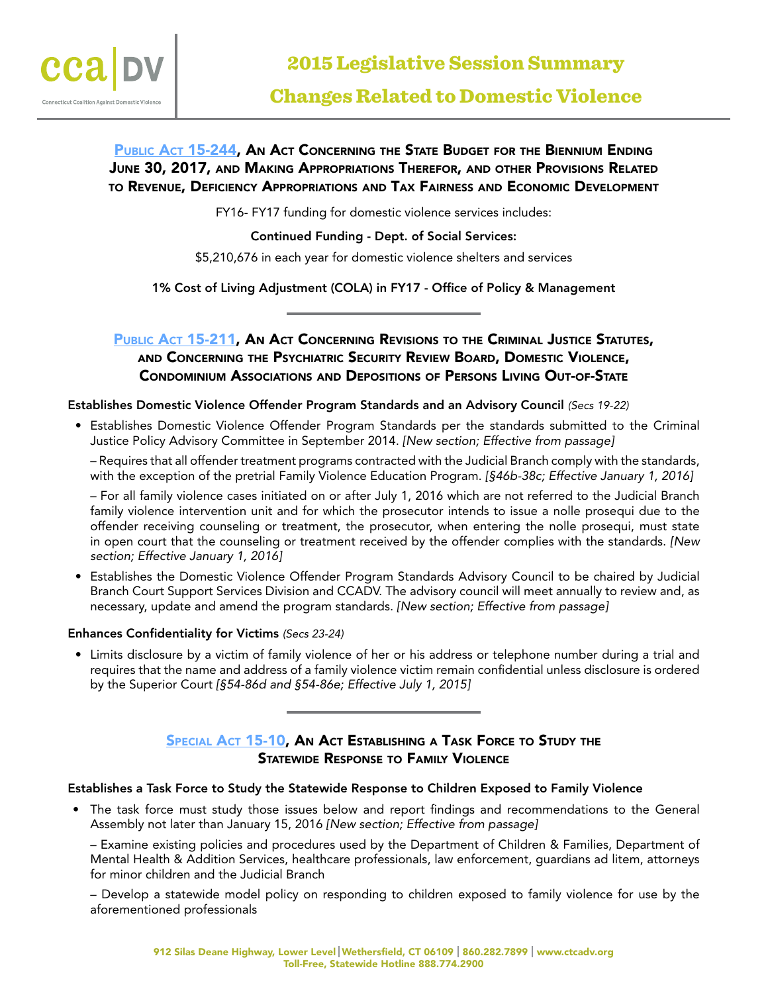

# PUBLIC ACT 15-244, AN ACT CONCERNING THE STATE BUDGET FOR THE BIENNIUM ENDING June 30, 2017, and Making Appropriations Therefor, and other Provisions Related to Revenue, Deficiency Appropriations and Tax Fairness and Economic Development

FY16- FY17 funding for domestic violence services includes:

Continued Funding - Dept. of Social Services:

\$5,210,676 in each year for domestic violence shelters and services

1% Cost of Living Adjustment (COLA) in FY17 - Office of Policy & Management

# PUBLIC ACT 15-211, AN ACT CONCERNING REVISIONS TO THE CRIMINAL JUSTICE STATUTES, and Concerning the Psychiatric Security Review Board, Domestic Violence, Condominium Associations and Depositions of Persons Living Out-of-State

#### Establishes Domestic Violence Offender Program Standards and an Advisory Council *(Secs 19-22)*

• Establishes Domestic Violence Offender Program Standards per the standards submitted to the Criminal Justice Policy Advisory Committee in September 2014. *[New section; Effective from passage]*

– Requires that all offender treatment programs contracted with the Judicial Branch comply with the standards, with the exception of the pretrial Family Violence Education Program. *[§46b-38c; Effective January 1, 2016]*

– For all family violence cases initiated on or after July 1, 2016 which are not referred to the Judicial Branch family violence intervention unit and for which the prosecutor intends to issue a nolle prosequi due to the offender receiving counseling or treatment, the prosecutor, when entering the nolle prosequi, must state in open court that the counseling or treatment received by the offender complies with the standards. *[New section; Effective January 1, 2016]*

• Establishes the Domestic Violence Offender Program Standards Advisory Council to be chaired by Judicial Branch Court Support Services Division and CCADV. The advisory council will meet annually to review and, as necessary, update and amend the program standards. *[New section; Effective from passage]*

#### Enhances Confidentiality for Victims *(Secs 23-24)*

• Limits disclosure by a victim of family violence of her or his address or telephone number during a trial and requires that the name and address of a family violence victim remain confidential unless disclosure is ordered by the Superior Court *[§54-86d and §54-86e; Effective July 1, 2015]*

## SPECIAL ACT 15-10, AN ACT ESTABLISHING A TASK FORCE TO STUDY THE Statewide Response to Family Violence

#### Establishes a Task Force to Study the Statewide Response to Children Exposed to Family Violence

• The task force must study those issues below and report findings and recommendations to the General Assembly not later than January 15, 2016 *[New section; Effective from passage]*

– Examine existing policies and procedures used by the Department of Children & Families, Department of Mental Health & Addition Services, healthcare professionals, law enforcement, guardians ad litem, attorneys for minor children and the Judicial Branch

– Develop a statewide model policy on responding to children exposed to family violence for use by the aforementioned professionals